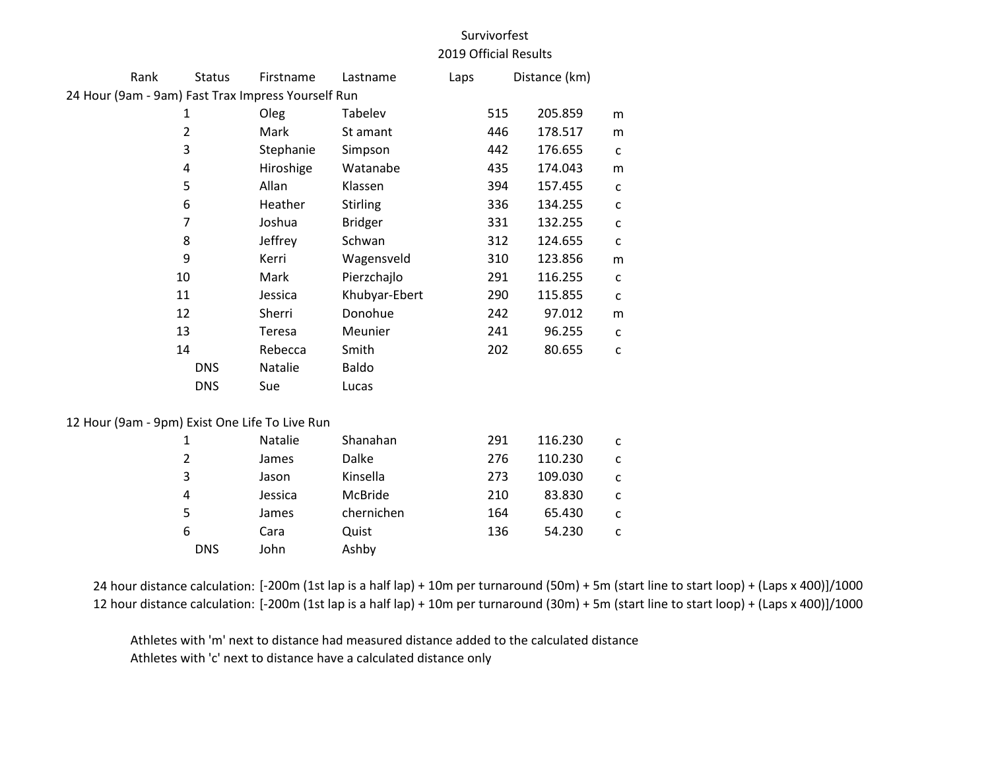## Survivorfest 2019 Official Results

| Rank                                               | <b>Status</b> | Firstname      | Lastname        | Laps |     | Distance (km) |              |  |
|----------------------------------------------------|---------------|----------------|-----------------|------|-----|---------------|--------------|--|
| 24 Hour (9am - 9am) Fast Trax Impress Yourself Run |               |                |                 |      |     |               |              |  |
| 1<br>$\overline{2}$                                |               | Oleg           | Tabelev         |      | 515 | 205.859       | m            |  |
|                                                    |               | Mark           | St amant        |      | 446 | 178.517       | m            |  |
|                                                    | 3             | Stephanie      | Simpson         |      | 442 | 176.655       | $\mathsf{C}$ |  |
|                                                    | 4             | Hiroshige      | Watanabe        |      | 435 | 174.043       | m            |  |
|                                                    | 5             | Allan          | Klassen         |      | 394 | 157.455       | C            |  |
|                                                    | 6             | Heather        | <b>Stirling</b> |      | 336 | 134.255       | c            |  |
|                                                    | 7             | Joshua         | <b>Bridger</b>  |      | 331 | 132.255       | с            |  |
|                                                    | 8             | Jeffrey        | Schwan          |      | 312 | 124.655       | C            |  |
|                                                    | 9             | Kerri          | Wagensveld      |      | 310 | 123.856       | m            |  |
| 10                                                 |               | Mark           | Pierzchajlo     |      | 291 | 116.255       | $\mathsf{C}$ |  |
| 11                                                 |               | Jessica        | Khubyar-Ebert   |      | 290 | 115.855       | C            |  |
| 12                                                 |               | Sherri         | Donohue         |      | 242 | 97.012        | m            |  |
| 13                                                 |               | Teresa         | Meunier         |      | 241 | 96.255        | c            |  |
| 14                                                 |               | Rebecca        | Smith           |      | 202 | 80.655        | $\mathsf{C}$ |  |
|                                                    | <b>DNS</b>    | Natalie        | Baldo           |      |     |               |              |  |
|                                                    | <b>DNS</b>    | Sue            | Lucas           |      |     |               |              |  |
| 12 Hour (9am - 9pm) Exist One Life To Live Run     |               |                |                 |      |     |               |              |  |
|                                                    | 1             | <b>Natalie</b> | Shanahan        |      | 291 | 116.230       | с            |  |
|                                                    | 2             | James          | <b>Dalke</b>    |      | 276 | 110.230       | c            |  |
|                                                    | 3             | Jason          | Kinsella        |      | 273 | 109.030       | C            |  |
|                                                    | 4             | Jessica        | McBride         |      | 210 | 83.830        | C            |  |

| 24 hour distance calculation: [-200m (1st lap is a half lap) + 10m per turnaround (50m) + 5m (start line to start loop) + (Laps x 400)]/1000 |
|----------------------------------------------------------------------------------------------------------------------------------------------|
| 12 hour distance calculation: [-200m (1st lap is a half lap) + 10m per turnaround (30m) + 5m (start line to start loop) + (Laps x 400)]/1000 |

Athletes with 'm' next to distance had measured distance added to the calculated distance Athletes with 'c' next to distance have a calculated distance only

DNS John Ashby

 James chernichen 164 65.430 c Cara Quist 136 54.230 c